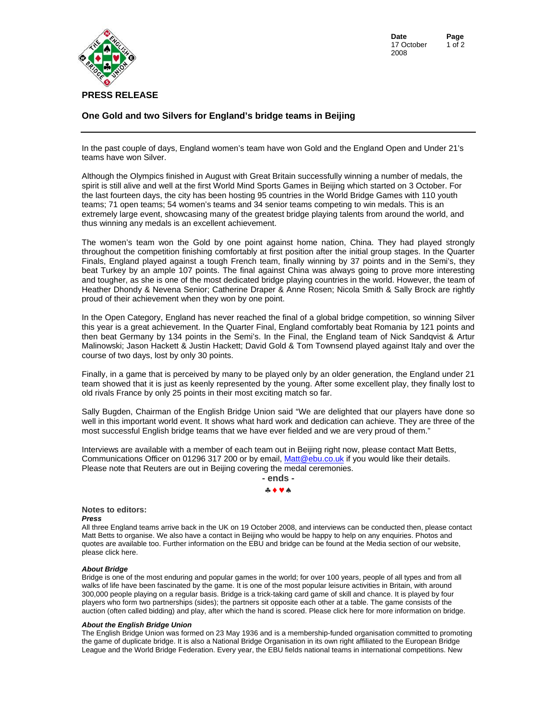

**Date Page**  17 October 2008 1 of 2

## **One Gold and two Silvers for England's bridge teams in Beijing**

In the past couple of days, England women's team have won Gold and the England Open and Under 21's teams have won Silver.

Although the Olympics finished in August with Great Britain successfully winning a number of medals, the spirit is still alive and well at the first World Mind Sports Games in Beijing which started on 3 October. For the last fourteen days, the city has been hosting 95 countries in the World Bridge Games with 110 youth teams; 71 open teams; 54 women's teams and 34 senior teams competing to win medals. This is an extremely large event, showcasing many of the greatest bridge playing talents from around the world, and thus winning any medals is an excellent achievement.

The women's team won the Gold by one point against home nation, China. They had played strongly throughout the competition finishing comfortably at first position after the initial group stages. In the Quarter Finals, England played against a tough French team, finally winning by 37 points and in the Semi's, they beat Turkey by an ample 107 points. The final against China was always going to prove more interesting and tougher, as she is one of the most dedicated bridge playing countries in the world. However, the team of Heather Dhondy & Nevena Senior; Catherine Draper & Anne Rosen; Nicola Smith & Sally Brock are rightly proud of their achievement when they won by one point.

In the Open Category, England has never reached the final of a global bridge competition, so winning Silver this year is a great achievement. In the Quarter Final, England comfortably beat Romania by 121 points and then beat Germany by 134 points in the Semi's. In the Final, the England team of Nick Sandqvist & Artur Malinowski; Jason Hackett & Justin Hackett; David Gold & Tom Townsend played against Italy and over the course of two days, lost by only 30 points.

Finally, in a game that is perceived by many to be played only by an older generation, the England under 21 team showed that it is just as keenly represented by the young. After some excellent play, they finally lost to old rivals France by only 25 points in their most exciting match so far.

Sally Bugden, Chairman of the English Bridge Union said "We are delighted that our players have done so well in this important world event. It shows what hard work and dedication can achieve. They are three of the most successful English bridge teams that we have ever fielded and we are very proud of them."

Interviews are available with a member of each team out in Beijing right now, please contact Matt Betts, Communications Officer on 01296 317 200 or by email, [Matt@ebu.co.uk if](mailto:Matt@ebu.co.uk) you would like their details. Please note that Reuters are out in Beijing covering the medal ceremonies.



## **Notes to editors:**

*Press* 

All three England teams arrive back in the UK on 19 October 2008, and interviews can be conducted then, please contact Matt Betts to organise. We also have a contact in Beijing who would be happy to help on any enquiries. Photos and quotes are available too. Further information on the EBU and bridge can be found at the Media section of our website, please [click here.](http://www.ebu.co.uk/media/pressresources.htm) 

## *About Bridge*

Bridge is one of the most enduring and popular games in the world; for over 100 years, people of all types and from all walks of life have been fascinated by the game. It is one of the most popular leisure activities in Britain, with around 300,000 people playing on a regular basis. Bridge is a trick-taking card game of skill and chance. It is played by four players who form two partnerships (sides); the partners sit opposite each other at a table. The game consists of the auction (often called bidding) and play, after which the hand is sc[ored. Please click here for more](http://www.ebu.co.uk/media/pressresources.htm) information on bridge.

## *About the English Bridge Union*

The English Bridge Union was formed on 23 May 1936 and is a membership-funded organisation committed to promoting the game of duplicate bridge. It is also a National Bridge Organisation in its own right affiliated to the European Bridge League and the World Bridge Federation. Every year, the EBU fields national teams in international competitions. New